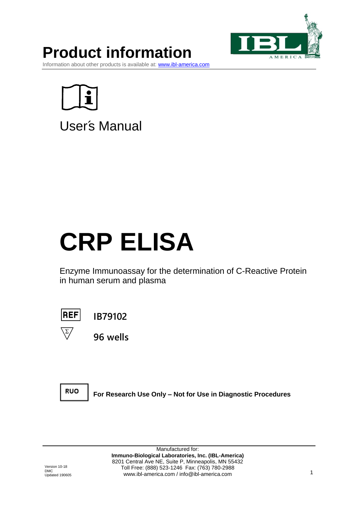

# **Product information**

Information about other products is available at: www.i<mark>bl-america.com</mark>



User's Manual

# **CRP ELISA**

Enzyme Immunoassay for the determination of C-Reactive Protein in human serum and plasma



**IB79102**



**96 wells**



**For Research Use Only – Not for Use in Diagnostic Procedures**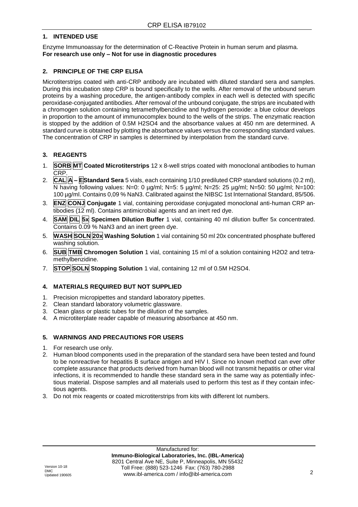# **1. INTENDED USE**

Enzyme Immunoassay for the determination of C-Reactive Protein in human serum and plasma. **For research use only – Not for use in diagnostic procedures**

# **2. PRINCIPLE OF THE CRP ELISA**

Microtiterstrips coated with anti-CRP antibody are incubated with diluted standard sera and samples. During this incubation step CRP is bound specifically to the wells. After removal of the unbound serum proteins by a washing procedure, the antigen-antibody complex in each well is detected with specific peroxidase-conjugated antibodies. After removal of the unbound conjugate, the strips are incubated with a chromogen solution containing tetramethylbenzidine and hydrogen peroxide: a blue colour develops in proportion to the amount of immunocomplex bound to the wells of the strips. The enzymatic reaction is stopped by the addition of 0.5M H2SO4 and the absorbance values at 450 nm are determined. A standard curve is obtained by plotting the absorbance values versus the corresponding standard values. The concentration of CRP in samples is determined by interpolation from the standard curve.

# **3. REAGENTS**

- 1. **SORB MT Coated Microtiterstrips** 12 x 8-well strips coated with monoclonal antibodies to human CRP.
- 2. **CAL A – EStandard Sera** 5 vials, each containing 1/10 prediluted CRP standard solutions (0.2 ml), N having following values: N=0: 0 µg/ml; N=5: 5 µg/ml; N=25: 25 µg/ml; N=50: 50 µg/ml; N=100: 100 µg/ml. Contains 0,09 % NaN3. Calibrated against the NIBSC 1st International Standard, 85/506.
- 3. **ENZ CONJ Conjugate** 1 vial, containing peroxidase conjugated monoclonal anti-human CRP antibodies (12 ml). Contains antimicrobial agents and an inert red dye.
- 4. **SAM DIL 5x Specimen Dilution Buffer** 1 vial, containing 40 ml dilution buffer 5x concentrated. Contains 0.09 % NaN3 and an inert green dye.
- 5. **WASH SOLN 20x Washing Solution** 1 vial containing 50 ml 20x concentrated phosphate buffered washing solution.
- 6. **SUB TMB Chromogen Solution** 1 vial, containing 15 ml of a solution containing H2O2 and tetramethylbenzidine.
- 7. **STOP SOLN Stopping Solution** 1 vial, containing 12 ml of 0.5M H2SO4.

# **4. MATERIALS REQUIRED BUT NOT SUPPLIED**

- 1. Precision micropipettes and standard laboratory pipettes.
- 2. Clean standard laboratory volumetric glassware.
- 3. Clean glass or plastic tubes for the dilution of the samples.
- 4. A microtiterplate reader capable of measuring absorbance at 450 nm.

# **5. WARNINGS AND PRECAUTIONS FOR USERS**

- 1. For research use only.
- 2. Human blood components used in the preparation of the standard sera have been tested and found to be nonreactive for hepatitis B surface antigen and HIV I. Since no known method can ever offer complete assurance that products derived from human blood will not transmit hepatitis or other viral infections, it is recommended to handle these standard sera in the same way as potentially infectious material. Dispose samples and all materials used to perform this test as if they contain infectious agents.
- 3. Do not mix reagents or coated microtiterstrips from kits with different lot numbers.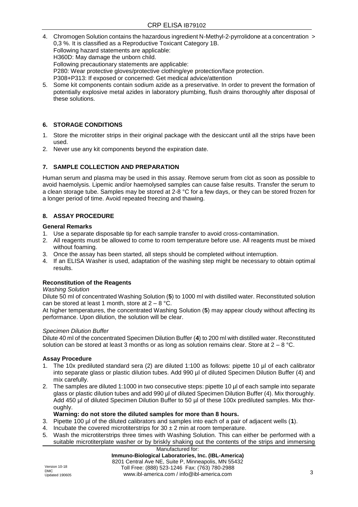- 4. Chromogen Solution contains the hazardous ingredient N-Methyl-2-pyrrolidone at a concentration > 0,3 %. It is classified as a Reproductive Toxicant Category 1B. Following hazard statements are applicable: H360D: May damage the unborn child. Following precautionary statements are applicable: P280: Wear protective gloves/protective clothing/eye protection/face protection. P308+P313: If exposed or concerned: Get medical advice/attention
- 5. Some kit components contain sodium azide as a preservative. In order to prevent the formation of potentially explosive metal azides in laboratory plumbing, flush drains thoroughly after disposal of these solutions.

# **6. STORAGE CONDITIONS**

- 1. Store the microtiter strips in their original package with the desiccant until all the strips have been used.
- 2. Never use any kit components beyond the expiration date.

# **7. SAMPLE COLLECTION AND PREPARATION**

Human serum and plasma may be used in this assay. Remove serum from clot as soon as possible to avoid haemolysis. Lipemic and/or haemolysed samples can cause false results. Transfer the serum to a clean storage tube. Samples may be stored at 2-8  $^{\circ}$ C for a few days, or they can be stored frozen for a longer period of time. Avoid repeated freezing and thawing.

# **8. ASSAY PROCEDURE**

#### **General Remarks**

- 1. Use a separate disposable tip for each sample transfer to avoid cross-contamination.
- 2. All reagents must be allowed to come to room temperature before use. All reagents must be mixed without foaming.
- 3. Once the assay has been started, all steps should be completed without interruption.
- 4. If an ELISA Washer is used, adaptation of the washing step might be necessary to obtain optimal results.

# **Reconstitution of the Reagents**

#### *Washing Solution*

Dilute 50 ml of concentrated Washing Solution (**5**) to 1000 ml with distilled water. Reconstituted solution can be stored at least 1 month, store at  $2 - 8$  °C.

At higher temperatures, the concentrated Washing Solution (**5**) may appear cloudy without affecting its performance. Upon dilution, the solution will be clear.

#### *Specimen Dilution Buffer*

Dilute 40 ml of the concentrated Specimen Dilution Buffer (**4**) to 200 ml with distilled water. Reconstituted solution can be stored at least 3 months or as long as solution remains clear. Store at  $2 - 8$  °C.

#### **Assay Procedure**

- 1. The 10x prediluted standard sera (2) are diluted 1:100 as follows: pipette 10 µl of each calibrator into separate glass or plastic dilution tubes. Add 990 µl of diluted Specimen Dilution Buffer (4) and mix carefully.
- 2. The samples are diluted 1:1000 in two consecutive steps: pipette 10 µl of each sample into separate glass or plastic dilution tubes and add 990 µl of diluted Specimen Dilution Buffer (4). Mix thoroughly. Add 450 µl of diluted Specimen Dilution Buffer to 50 µl of these 100x prediluted samples. Mix thoroughly.

#### **Warning: do not store the diluted samples for more than 8 hours.**

- 3. Pipette 100 µl of the diluted calibrators and samples into each of a pair of adjacent wells (**1**).
- 4. Incubate the covered microtiterstrips for  $30 \pm 2$  min at room temperature.
- 5. Wash the microtiterstrips three times with Washing Solution. This can either be performed with a suitable microtiterplate washer or by briskly shaking out the contents of the strips and immersing

Manufactured for: **Immuno-Biological Laboratories, Inc. (IBL-America)** 8201 Central Ave NE, Suite P, Minneapolis, MN 55432 Toll Free: (888) 523-1246 Fax: (763) 780-2988 www.ibl-america.com / info@ibl-america.com 3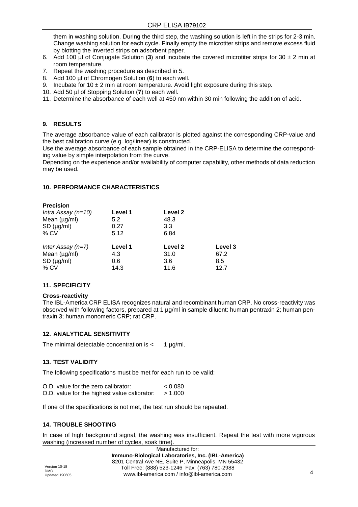them in washing solution. During the third step, the washing solution is left in the strips for 2-3 min. Change washing solution for each cycle. Finally empty the microtiter strips and remove excess fluid by blotting the inverted strips on adsorbent paper.

- 6. Add 100 µl of Conjugate Solution (**3**) and incubate the covered microtiter strips for 30 ± 2 min at room temperature.
- 7. Repeat the washing procedure as described in 5.
- 8. Add 100 µl of Chromogen Solution (**6**) to each well.
- 9. Incubate for  $10 \pm 2$  min at room temperature. Avoid light exposure during this step.
- 10. Add 50 µl of Stopping Solution (**7**) to each well.
- 11. Determine the absorbance of each well at 450 nm within 30 min following the addition of acid.

# **9. RESULTS**

The average absorbance value of each calibrator is plotted against the corresponding CRP-value and the best calibration curve (e.g. log/linear) is constructed.

Use the average absorbance of each sample obtained in the CRP-ELISA to determine the corresponding value by simple interpolation from the curve.

Depending on the experience and/or availability of computer capability, other methods of data reduction may be used.

# **10. PERFORMANCE CHARACTERISTICS**

| <b>Precision</b>     |         |         |         |
|----------------------|---------|---------|---------|
| Intra Assay $(n=10)$ | Level 1 | Level 2 |         |
| Mean $(\mu g/ml)$    | 5.2     | 48.3    |         |
| $SD$ ( $\mu$ g/ml)   | 0.27    | 3.3     |         |
| $%$ CV               | 5.12    | 6.84    |         |
| Inter Assay $(n=7)$  | Level 1 | Level 2 | Level 3 |
| Mean $(\mu g/ml)$    | 4.3     | 31.0    | 67.2    |
| $SD$ ( $\mu$ g/ml)   | 0.6     | 3.6     | 8.5     |
| $%$ CV               | 14.3    | 11.6    | 12.7    |
|                      |         |         |         |

# **11. SPECIFICITY**

# **Cross-reactivity**

The IBL-America CRP ELISA recognizes natural and recombinant human CRP. No cross-reactivity was observed with following factors, prepared at 1 µg/ml in sample diluent: human pentraxin 2; human pentraxin 3; human monomeric CRP; rat CRP.

# **12. ANALYTICAL SENSITIVITY**

The minimal detectable concentration is  $\lt$  1  $\mu$ g/ml.

# **13. TEST VALIDITY**

The following specifications must be met for each run to be valid:

| O.D. value for the zero calibrator:          | < 0.080 |
|----------------------------------------------|---------|
| O.D. value for the highest value calibrator: | > 1.000 |

If one of the specifications is not met, the test run should be repeated.

# **14. TROUBLE SHOOTING**

In case of high background signal, the washing was insufficient. Repeat the test with more vigorous washing (increased number of cycles, soak time).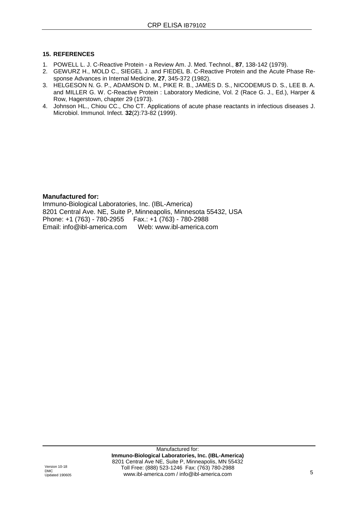# **15. REFERENCES**

- 1. POWELL L. J. C-Reactive Protein a Review Am. J. Med. Technol., **87**, 138-142 (1979).
- 2. GEWURZ H., MOLD C., SIEGEL J. and FIEDEL B. C-Reactive Protein and the Acute Phase Response Advances in Internal Medicine, **27**, 345-372 (1982).
- 3. HELGESON N. G. P., ADAMSON D. M., PIKE R. B., JAMES D. S., NICODEMUS D. S., LEE B. A. and MILLER G. W. C-Reactive Protein : Laboratory Medicine, Vol. 2 (Race G. J., Ed.), Harper & Row, Hagerstown, chapter 29 (1973).
- 4. Johnson HL., Chiou CC., Cho CT. Applications of acute phase reactants in infectious diseases J. Microbiol. Immunol. Infect. **32**(2):73-82 (1999).

# **Manufactured for:**

Immuno-Biological Laboratories, Inc. (IBL-America) 8201 Central Ave. NE, Suite P, Minneapolis, Minnesota 55432, USA Phone: +1 (763) - 780-2955 Fax.: +1 (763) - 780-2988 Email: info@ibl-america.com